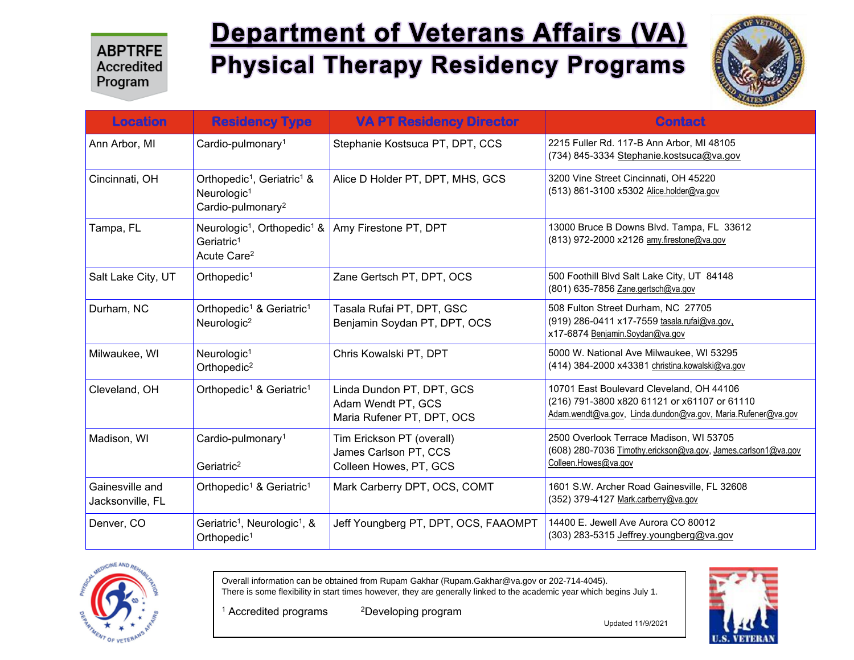# **Department of Veterans Affairs (VA) Physical Therapy Residency Programs**



| <b>Location</b>                     | <b>Residency Type</b>                                                                                          | <b>VA PT Residency Director</b>                                               | <b>Contact</b>                                                                                                                                           |
|-------------------------------------|----------------------------------------------------------------------------------------------------------------|-------------------------------------------------------------------------------|----------------------------------------------------------------------------------------------------------------------------------------------------------|
| Ann Arbor, MI                       | Cardio-pulmonary <sup>1</sup>                                                                                  | Stephanie Kostsuca PT, DPT, CCS                                               | 2215 Fuller Rd. 117-B Ann Arbor, MI 48105<br>(734) 845-3334 Stephanie.kostsuca@va.gov                                                                    |
| Cincinnati, OH                      | Orthopedic <sup>1</sup> , Geriatric <sup>1</sup> &<br>Neurologic <sup>1</sup><br>Cardio-pulmonary <sup>2</sup> | Alice D Holder PT, DPT, MHS, GCS                                              | 3200 Vine Street Cincinnati, OH 45220<br>(513) 861-3100 x5302 Alice.holder@va.gov                                                                        |
| Tampa, FL                           | Neurologic <sup>1</sup> , Orthopedic <sup>1</sup> &<br>Geriatric <sup>1</sup><br>Acute Care <sup>2</sup>       | Amy Firestone PT, DPT                                                         | 13000 Bruce B Downs Blvd. Tampa, FL 33612<br>(813) 972-2000 x2126 amy.firestone@va.gov                                                                   |
| Salt Lake City, UT                  | Orthopedic <sup>1</sup>                                                                                        | Zane Gertsch PT, DPT, OCS                                                     | 500 Foothill Blvd Salt Lake City, UT 84148<br>(801) 635-7856 Zane.gertsch@va.gov                                                                         |
| Durham, NC                          | Orthopedic <sup>1</sup> & Geriatric <sup>1</sup><br>Neurologic <sup>2</sup>                                    | Tasala Rufai PT, DPT, GSC<br>Benjamin Soydan PT, DPT, OCS                     | 508 Fulton Street Durham, NC 27705<br>(919) 286-0411 x17-7559 tasala.rufai@va.gov.<br>x17-6874 Benjamin.Soydan@va.gov                                    |
| Milwaukee, WI                       | Neurologic <sup>1</sup><br>Orthopedic <sup>2</sup>                                                             | Chris Kowalski PT, DPT                                                        | 5000 W. National Ave Milwaukee, WI 53295<br>(414) 384-2000 x43381 christina.kowalski@va.gov                                                              |
| Cleveland, OH                       | Orthopedic <sup>1</sup> & Geriatric <sup>1</sup>                                                               | Linda Dundon PT, DPT, GCS<br>Adam Wendt PT, GCS<br>Maria Rufener PT, DPT, OCS | 10701 East Boulevard Cleveland, OH 44106<br>(216) 791-3800 x820 61121 or x61107 or 61110<br>Adam.wendt@va.gov, Linda.dundon@va.gov, Maria.Rufener@va.gov |
| Madison, WI                         | Cardio-pulmonary <sup>1</sup><br>Geriatric <sup>2</sup>                                                        | Tim Erickson PT (overall)<br>James Carlson PT, CCS<br>Colleen Howes, PT, GCS  | 2500 Overlook Terrace Madison, WI 53705<br>(608) 280-7036 Timothy.erickson@va.gov, James.carlson1@va.gov<br>Colleen.Howes@va.gov                         |
| Gainesville and<br>Jacksonville, FL | Orthopedic <sup>1</sup> & Geriatric <sup>1</sup>                                                               | Mark Carberry DPT, OCS, COMT                                                  | 1601 S.W. Archer Road Gainesville, FL 32608<br>(352) 379-4127 Mark.carberry@va.gov                                                                       |
| Denver, CO                          | Geriatric <sup>1</sup> , Neurologic <sup>1</sup> , &<br>Orthopedic <sup>1</sup>                                | Jeff Youngberg PT, DPT, OCS, FAAOMPT                                          | 14400 E. Jewell Ave Aurora CO 80012<br>(303) 283-5315 Jeffrey.youngberg@va.gov                                                                           |



Overall information can be obtained from Rupam Gakhar (Rupam.Gakhar@va.gov or 202-714-4045). There is some flexibility in start times however, they are generally linked to the academic year which begins July 1.

<sup>1</sup> Accredited programs <sup>2</sup>Developing program

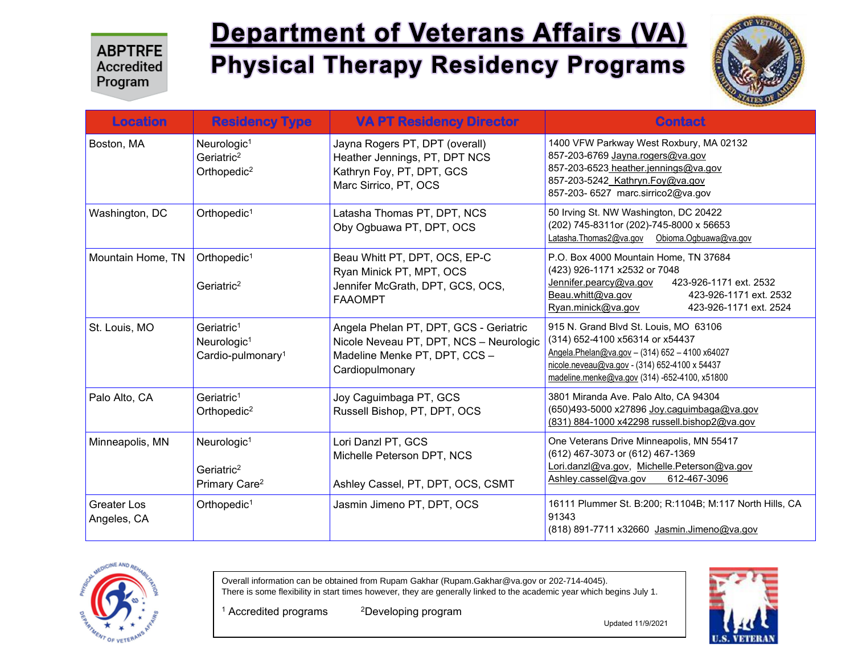# **Department of Veterans Affairs (VA) Physical Therapy Residency Programs**



| <b>Location</b>                   | <b>Residency Type</b>                                                              | <b>VA PT Residency Director</b>                                                                                                       | <b>Contact</b>                                                                                                                                                                                                               |
|-----------------------------------|------------------------------------------------------------------------------------|---------------------------------------------------------------------------------------------------------------------------------------|------------------------------------------------------------------------------------------------------------------------------------------------------------------------------------------------------------------------------|
| Boston, MA                        | Neurologic <sup>1</sup><br>Geriatric <sup>2</sup><br>Orthopedic <sup>2</sup>       | Jayna Rogers PT, DPT (overall)<br>Heather Jennings, PT, DPT NCS<br>Kathryn Foy, PT, DPT, GCS<br>Marc Sirrico, PT, OCS                 | 1400 VFW Parkway West Roxbury, MA 02132<br>857-203-6769 Jayna.rogers@va.gov<br>857-203-6523 heather jennings@va.gov<br>857-203-5242 Kathryn.Foy@va.gov<br>857-203- 6527 marc.sirrico2@va.gov                                 |
| Washington, DC                    | Orthopedic <sup>1</sup>                                                            | Latasha Thomas PT, DPT, NCS<br>Oby Ogbuawa PT, DPT, OCS                                                                               | 50 Irving St. NW Washington, DC 20422<br>(202) 745-8311or (202)-745-8000 x 56653<br>Latasha.Thomas2@va.gov<br>Obioma.Ogbuawa@va.gov                                                                                          |
| Mountain Home, TN                 | Orthopedic <sup>1</sup><br>Geriatric <sup>2</sup>                                  | Beau Whitt PT, DPT, OCS, EP-C<br>Ryan Minick PT, MPT, OCS<br>Jennifer McGrath, DPT, GCS, OCS,<br><b>FAAOMPT</b>                       | P.O. Box 4000 Mountain Home, TN 37684<br>(423) 926-1171 x2532 or 7048<br>Jennifer.pearcy@va.gov<br>423-926-1171 ext. 2532<br>Beau.whitt@va.gov<br>423-926-1171 ext. 2532<br>423-926-1171 ext. 2524<br>Ryan.minick@va.gov     |
| St. Louis, MO                     | Geriatric <sup>1</sup><br>Neurologic <sup>1</sup><br>Cardio-pulmonary <sup>1</sup> | Angela Phelan PT, DPT, GCS - Geriatric<br>Nicole Neveau PT, DPT, NCS - Neurologic<br>Madeline Menke PT, DPT, CCS -<br>Cardiopulmonary | 915 N. Grand Blvd St. Louis, MO 63106<br>(314) 652-4100 x56314 or x54437<br>Angela.Phelan@va.gov - (314) 652 - 4100 x64027<br>nicole.neveau@va.gov - (314) 652-4100 x 54437<br>madeline.menke@va.gov (314) -652-4100, x51800 |
| Palo Alto, CA                     | Geriatric <sup>1</sup><br>Orthopedic <sup>2</sup>                                  | Joy Caguimbaga PT, GCS<br>Russell Bishop, PT, DPT, OCS                                                                                | 3801 Miranda Ave. Palo Alto, CA 94304<br>(650)493-5000 x27896 Joy.caguimbaga@va.gov<br>(831) 884-1000 x42298 russell.bishop2@va.gov                                                                                          |
| Minneapolis, MN                   | Neurologic <sup>1</sup><br>Geriatric <sup>2</sup><br>Primary Care <sup>2</sup>     | Lori Danzl PT, GCS<br>Michelle Peterson DPT, NCS<br>Ashley Cassel, PT, DPT, OCS, CSMT                                                 | One Veterans Drive Minneapolis, MN 55417<br>(612) 467-3073 or (612) 467-1369<br>Lori.danzl@va.gov, Michelle.Peterson@va.gov<br>Ashley.cassel@va.gov<br>612-467-3096                                                          |
| <b>Greater Los</b><br>Angeles, CA | Orthopedic <sup>1</sup>                                                            | Jasmin Jimeno PT, DPT, OCS                                                                                                            | 16111 Plummer St. B:200; R:1104B; M:117 North Hills, CA<br>91343<br>(818) 891-7711 x32660 Jasmin.Jimeno@va.gov                                                                                                               |



Overall information can be obtained from Rupam Gakhar (Rupam.Gakhar@va.gov or 202-714-4045). There is some flexibility in start times however, they are generally linked to the academic year which begins July 1.

<sup>1</sup> Accredited programs <sup>2</sup>Developing program

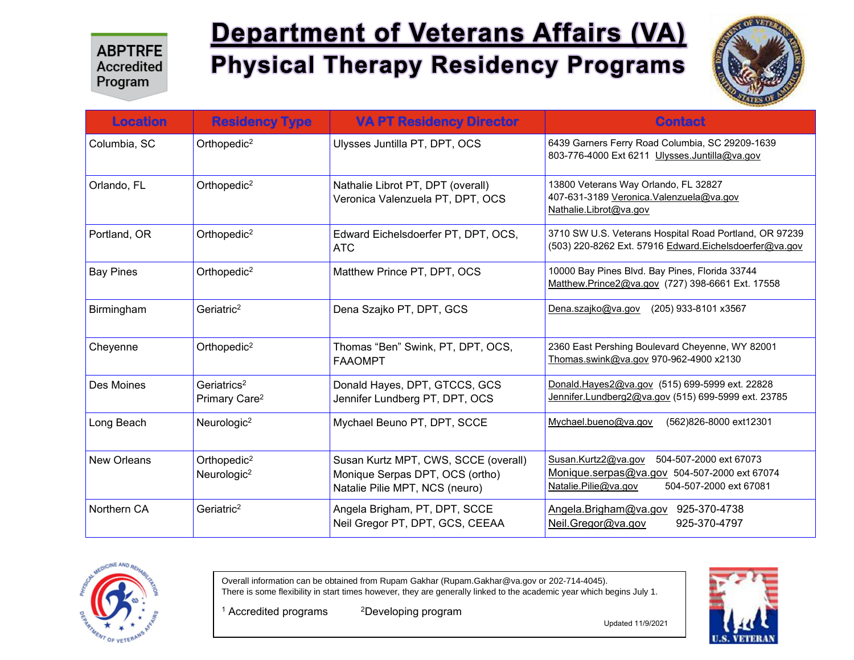# **Department of Veterans Affairs (VA) Physical Therapy Residency Programs**



| <b>Location</b>    | <b>Residency Type</b>                                | <b>VA PT Residency Director</b>                                                                           | <b>Contact</b>                                                                                                                                  |
|--------------------|------------------------------------------------------|-----------------------------------------------------------------------------------------------------------|-------------------------------------------------------------------------------------------------------------------------------------------------|
| Columbia, SC       | Orthopedic <sup>2</sup>                              | Ulysses Juntilla PT, DPT, OCS                                                                             | 6439 Garners Ferry Road Columbia, SC 29209-1639<br>803-776-4000 Ext 6211 Ulysses.Juntilla@va.gov                                                |
| Orlando, FL        | Orthopedic <sup>2</sup>                              | Nathalie Librot PT, DPT (overall)<br>Veronica Valenzuela PT, DPT, OCS                                     | 13800 Veterans Way Orlando, FL 32827<br>407-631-3189 Veronica. Valenzuela@va.gov<br>Nathalie.Librot@va.gov                                      |
| Portland, OR       | Orthopedic <sup>2</sup>                              | Edward Eichelsdoerfer PT, DPT, OCS,<br><b>ATC</b>                                                         | 3710 SW U.S. Veterans Hospital Road Portland, OR 97239<br>(503) 220-8262 Ext. 57916 Edward.Eichelsdoerfer@va.gov                                |
| <b>Bay Pines</b>   | Orthopedic <sup>2</sup>                              | Matthew Prince PT, DPT, OCS                                                                               | 10000 Bay Pines Blvd. Bay Pines, Florida 33744<br>Matthew.Prince2@va.gov (727) 398-6661 Ext. 17558                                              |
| Birmingham         | Geriatric <sup>2</sup>                               | Dena Szajko PT, DPT, GCS                                                                                  | Dena.szajko@va.gov<br>(205) 933-8101 x3567                                                                                                      |
| Cheyenne           | Orthopedic <sup>2</sup>                              | Thomas "Ben" Swink, PT, DPT, OCS,<br><b>FAAOMPT</b>                                                       | 2360 East Pershing Boulevard Cheyenne, WY 82001<br>Thomas.swink@va.gov 970-962-4900 x2130                                                       |
| Des Moines         | Geriatrics <sup>2</sup><br>Primary Care <sup>2</sup> | Donald Hayes, DPT, GTCCS, GCS<br>Jennifer Lundberg PT, DPT, OCS                                           | Donald.Hayes2@va.gov (515) 699-5999 ext. 22828<br>Jennifer.Lundberg2@va.gov (515) 699-5999 ext. 23785                                           |
| Long Beach         | Neurologic <sup>2</sup>                              | Mychael Beuno PT, DPT, SCCE                                                                               | Mychael.bueno@va.gov<br>(562)826-8000 ext12301                                                                                                  |
| <b>New Orleans</b> | Orthopedic <sup>2</sup><br>Neurologic <sup>2</sup>   | Susan Kurtz MPT, CWS, SCCE (overall)<br>Monique Serpas DPT, OCS (ortho)<br>Natalie Pilie MPT, NCS (neuro) | Susan.Kurtz2@va.gov<br>504-507-2000 ext 67073<br>Monique.serpas@va.gov 504-507-2000 ext 67074<br>Natalie.Pilie@va.gov<br>504-507-2000 ext 67081 |
| Northern CA        | Geriatric <sup>2</sup>                               | Angela Brigham, PT, DPT, SCCE<br>Neil Gregor PT, DPT, GCS, CEEAA                                          | 925-370-4738<br>Angela.Brigham@va.gov<br>Neil.Gregor@va.gov<br>925-370-4797                                                                     |



Overall information can be obtained from Rupam Gakhar (Rupam.Gakhar@va.gov or 202-714-4045). There is some flexibility in start times however, they are generally linked to the academic year which begins July 1.

<sup>1</sup> Accredited programs

<sup>2</sup>Developing program